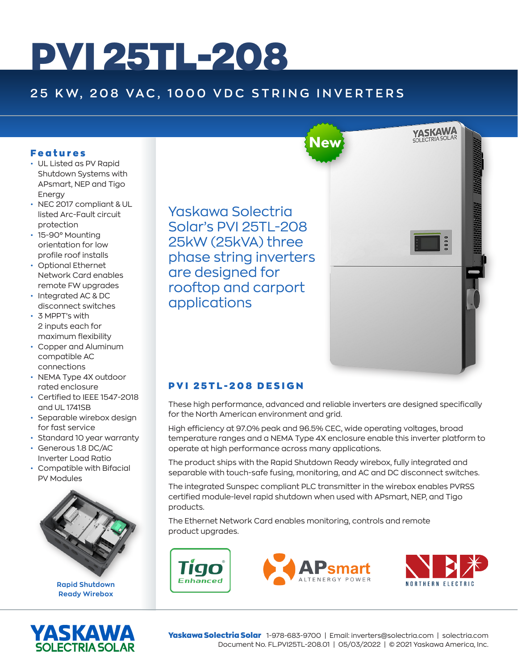# PVI 25TL-208

## **25 KW, 208 VAC, 1000 VDC STRING INVERTERS**

#### Features

- UL Listed as PV Rapid Shutdown Systems with APsmart, NEP and Tigo Energy
- NEC 2017 compliant & UL listed Arc-Fault circuit protection
- 15-90° Mounting orientation for low profile roof installs
- Optional Ethernet Network Card enables remote FW upgrades
- Integrated AC & DC disconnect switches
- 3 MPPT's with 2 inputs each for maximum flexibility
- Copper and Aluminum compatible AC connections
- NEMA Type 4X outdoor rated enclosure
- Certified to IEEE 1547-2018 and UL 1741SB
- Separable wirebox design for fast service
- Standard 10 year warranty
- Generous 1.8 DC/AC Inverter Load Ratio
- Compatible with Bifacial PV Modules



**Rapid Shutdown Ready Wirebox**



Yaskawa Solectria Solar's PVI 25TL-208 25kW (25kVA) three phase string inverters are designed for rooftop and carport applications



### PVI 25TL-208 DESIGN

Tigo Enhanced

These high performance, advanced and reliable inverters are designed specifically for the North American environment and grid.

High efficiency at 97.0% peak and 96.5% CEC, wide operating voltages, broad temperature ranges and a NEMA Type 4X enclosure enable this inverter platform to operate at high performance across many applications.

The product ships with the Rapid Shutdown Ready wirebox, fully integrated and separable with touch-safe fusing, monitoring, and AC and DC disconnect switches.

The integrated Sunspec compliant PLC transmitter in the wirebox enables PVRSS certified module-level rapid shutdown when used with APsmart, NEP, and Tigo products.

The Ethernet Network Card enables monitoring, controls and remote product upgrades.





Yaskawa Solectria Solar 1-978-683-9700 | Email: inverters@solectria.com | solectria.com Document No. FL.PVI25TL-208.01 | 05/03/2022 | © 2021 Yaskawa America, Inc.